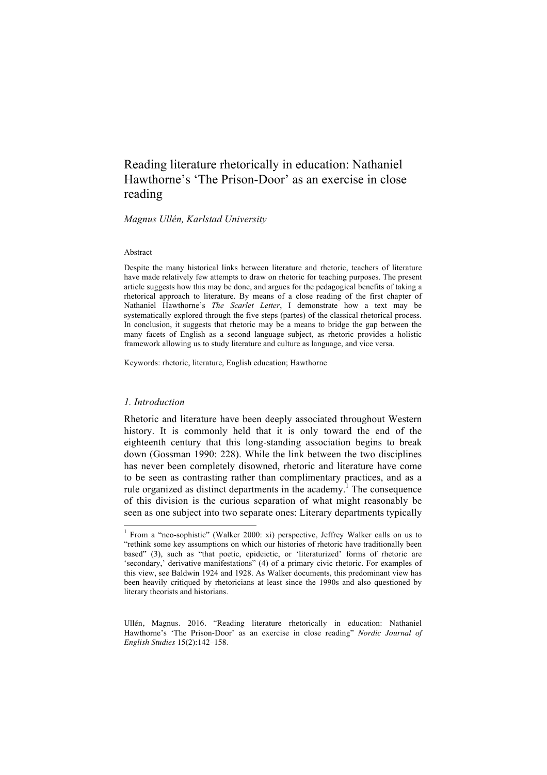# Reading literature rhetorically in education: Nathaniel Hawthorne's 'The Prison-Door' as an exercise in close reading

*Magnus Ullén, Karlstad University*

#### Abstract

Despite the many historical links between literature and rhetoric, teachers of literature have made relatively few attempts to draw on rhetoric for teaching purposes. The present article suggests how this may be done, and argues for the pedagogical benefits of taking a rhetorical approach to literature. By means of a close reading of the first chapter of Nathaniel Hawthorne's *The Scarlet Letter*, I demonstrate how a text may be systematically explored through the five steps (partes) of the classical rhetorical process. In conclusion, it suggests that rhetoric may be a means to bridge the gap between the many facets of English as a second language subject, as rhetoric provides a holistic framework allowing us to study literature and culture as language, and vice versa.

Keywords: rhetoric, literature, English education; Hawthorne

## *1. Introduction*

Rhetoric and literature have been deeply associated throughout Western history. It is commonly held that it is only toward the end of the eighteenth century that this long-standing association begins to break down (Gossman 1990: 228). While the link between the two disciplines has never been completely disowned, rhetoric and literature have come to be seen as contrasting rather than complimentary practices, and as a rule organized as distinct departments in the academy.<sup>1</sup> The consequence of this division is the curious separation of what might reasonably be seen as one subject into two separate ones: Literary departments typically

Ullén, Magnus. 2016. "Reading literature rhetorically in education: Nathaniel Hawthorne's 'The Prison-Door' as an exercise in close reading" *Nordic Journal of English Studies* 15(2):142–158.

 <sup>1</sup> From a "neo-sophistic" (Walker 2000: xi) perspective, Jeffrey Walker calls on us to "rethink some key assumptions on which our histories of rhetoric have traditionally been based" (3), such as "that poetic, epideictic, or 'literaturized' forms of rhetoric are 'secondary,' derivative manifestations" (4) of a primary civic rhetoric. For examples of this view, see Baldwin 1924 and 1928. As Walker documents, this predominant view has been heavily critiqued by rhetoricians at least since the 1990s and also questioned by literary theorists and historians.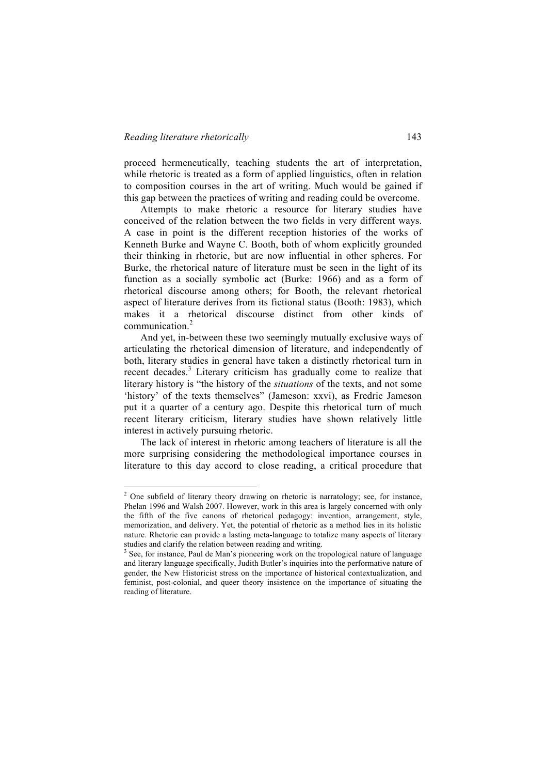proceed hermeneutically, teaching students the art of interpretation, while rhetoric is treated as a form of applied linguistics, often in relation to composition courses in the art of writing. Much would be gained if this gap between the practices of writing and reading could be overcome.

Attempts to make rhetoric a resource for literary studies have conceived of the relation between the two fields in very different ways. A case in point is the different reception histories of the works of Kenneth Burke and Wayne C. Booth, both of whom explicitly grounded their thinking in rhetoric, but are now influential in other spheres. For Burke, the rhetorical nature of literature must be seen in the light of its function as a socially symbolic act (Burke: 1966) and as a form of rhetorical discourse among others; for Booth, the relevant rhetorical aspect of literature derives from its fictional status (Booth: 1983), which makes it a rhetorical discourse distinct from other kinds of communication.<sup>2</sup>

And yet, in-between these two seemingly mutually exclusive ways of articulating the rhetorical dimension of literature, and independently of both, literary studies in general have taken a distinctly rhetorical turn in recent decades.<sup>3</sup> Literary criticism has gradually come to realize that literary history is "the history of the *situations* of the texts, and not some 'history' of the texts themselves" (Jameson: xxvi), as Fredric Jameson put it a quarter of a century ago. Despite this rhetorical turn of much recent literary criticism, literary studies have shown relatively little interest in actively pursuing rhetoric.

The lack of interest in rhetoric among teachers of literature is all the more surprising considering the methodological importance courses in literature to this day accord to close reading, a critical procedure that

<sup>&</sup>lt;sup>2</sup> One subfield of literary theory drawing on rhetoric is narratology; see, for instance, Phelan 1996 and Walsh 2007. However, work in this area is largely concerned with only the fifth of the five canons of rhetorical pedagogy: invention, arrangement, style, memorization, and delivery. Yet, the potential of rhetoric as a method lies in its holistic nature. Rhetoric can provide a lasting meta-language to totalize many aspects of literary studies and clarify the relation between reading and writing.<br> $3$  See, for instance, Paul de Man's pioneering work on the tropological nature of language

and literary language specifically, Judith Butler's inquiries into the performative nature of gender, the New Historicist stress on the importance of historical contextualization, and feminist, post-colonial, and queer theory insistence on the importance of situating the reading of literature.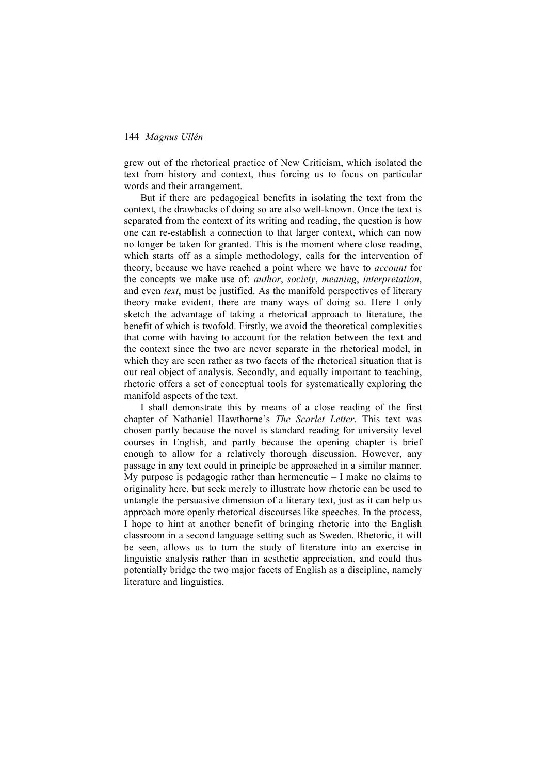grew out of the rhetorical practice of New Criticism, which isolated the text from history and context, thus forcing us to focus on particular words and their arrangement.

But if there are pedagogical benefits in isolating the text from the context, the drawbacks of doing so are also well-known. Once the text is separated from the context of its writing and reading, the question is how one can re-establish a connection to that larger context, which can now no longer be taken for granted. This is the moment where close reading, which starts off as a simple methodology, calls for the intervention of theory, because we have reached a point where we have to *account* for the concepts we make use of: *author*, *society*, *meaning*, *interpretation*, and even *text*, must be justified. As the manifold perspectives of literary theory make evident, there are many ways of doing so. Here I only sketch the advantage of taking a rhetorical approach to literature, the benefit of which is twofold. Firstly, we avoid the theoretical complexities that come with having to account for the relation between the text and the context since the two are never separate in the rhetorical model, in which they are seen rather as two facets of the rhetorical situation that is our real object of analysis. Secondly, and equally important to teaching, rhetoric offers a set of conceptual tools for systematically exploring the manifold aspects of the text.

I shall demonstrate this by means of a close reading of the first chapter of Nathaniel Hawthorne's *The Scarlet Letter*. This text was chosen partly because the novel is standard reading for university level courses in English, and partly because the opening chapter is brief enough to allow for a relatively thorough discussion. However, any passage in any text could in principle be approached in a similar manner. My purpose is pedagogic rather than hermeneutic  $-1$  make no claims to originality here, but seek merely to illustrate how rhetoric can be used to untangle the persuasive dimension of a literary text, just as it can help us approach more openly rhetorical discourses like speeches. In the process, I hope to hint at another benefit of bringing rhetoric into the English classroom in a second language setting such as Sweden. Rhetoric, it will be seen, allows us to turn the study of literature into an exercise in linguistic analysis rather than in aesthetic appreciation, and could thus potentially bridge the two major facets of English as a discipline, namely literature and linguistics.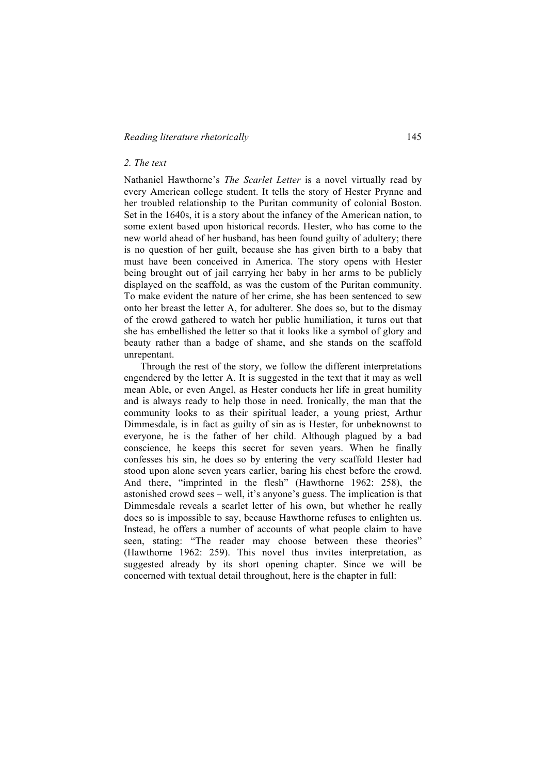## *Reading literature rhetorically* 145

## *2. The text*

Nathaniel Hawthorne's *The Scarlet Letter* is a novel virtually read by every American college student. It tells the story of Hester Prynne and her troubled relationship to the Puritan community of colonial Boston. Set in the 1640s, it is a story about the infancy of the American nation, to some extent based upon historical records. Hester, who has come to the new world ahead of her husband, has been found guilty of adultery; there is no question of her guilt, because she has given birth to a baby that must have been conceived in America. The story opens with Hester being brought out of jail carrying her baby in her arms to be publicly displayed on the scaffold, as was the custom of the Puritan community. To make evident the nature of her crime, she has been sentenced to sew onto her breast the letter A, for adulterer. She does so, but to the dismay of the crowd gathered to watch her public humiliation, it turns out that she has embellished the letter so that it looks like a symbol of glory and beauty rather than a badge of shame, and she stands on the scaffold unrepentant.

Through the rest of the story, we follow the different interpretations engendered by the letter A. It is suggested in the text that it may as well mean Able, or even Angel, as Hester conducts her life in great humility and is always ready to help those in need. Ironically, the man that the community looks to as their spiritual leader, a young priest, Arthur Dimmesdale, is in fact as guilty of sin as is Hester, for unbeknownst to everyone, he is the father of her child. Although plagued by a bad conscience, he keeps this secret for seven years. When he finally confesses his sin, he does so by entering the very scaffold Hester had stood upon alone seven years earlier, baring his chest before the crowd. And there, "imprinted in the flesh" (Hawthorne 1962: 258), the astonished crowd sees – well, it's anyone's guess. The implication is that Dimmesdale reveals a scarlet letter of his own, but whether he really does so is impossible to say, because Hawthorne refuses to enlighten us. Instead, he offers a number of accounts of what people claim to have seen, stating: "The reader may choose between these theories" (Hawthorne 1962: 259). This novel thus invites interpretation, as suggested already by its short opening chapter. Since we will be concerned with textual detail throughout, here is the chapter in full: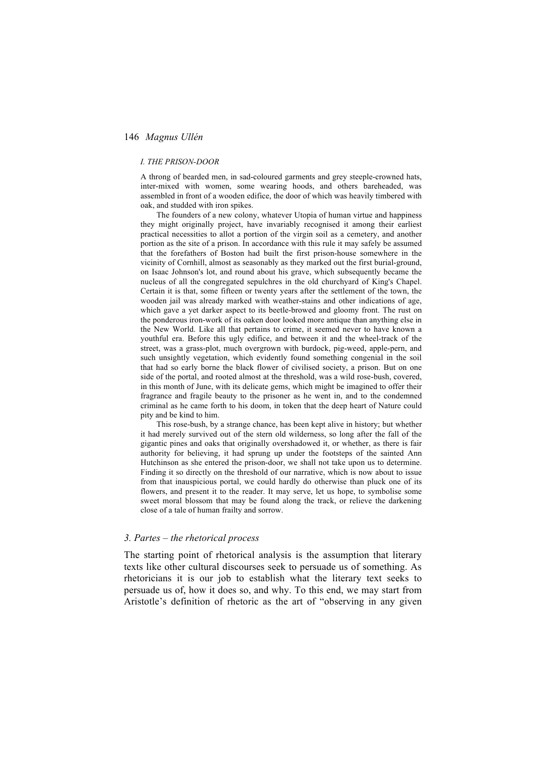#### *I. THE PRISON-DOOR*

A throng of bearded men, in sad-coloured garments and grey steeple-crowned hats, inter-mixed with women, some wearing hoods, and others bareheaded, was assembled in front of a wooden edifice, the door of which was heavily timbered with oak, and studded with iron spikes.

The founders of a new colony, whatever Utopia of human virtue and happiness they might originally project, have invariably recognised it among their earliest practical necessities to allot a portion of the virgin soil as a cemetery, and another portion as the site of a prison. In accordance with this rule it may safely be assumed that the forefathers of Boston had built the first prison-house somewhere in the vicinity of Cornhill, almost as seasonably as they marked out the first burial-ground, on Isaac Johnson's lot, and round about his grave, which subsequently became the nucleus of all the congregated sepulchres in the old churchyard of King's Chapel. Certain it is that, some fifteen or twenty years after the settlement of the town, the wooden jail was already marked with weather-stains and other indications of age, which gave a yet darker aspect to its beetle-browed and gloomy front. The rust on the ponderous iron-work of its oaken door looked more antique than anything else in the New World. Like all that pertains to crime, it seemed never to have known a youthful era. Before this ugly edifice, and between it and the wheel-track of the street, was a grass-plot, much overgrown with burdock, pig-weed, apple-pern, and such unsightly vegetation, which evidently found something congenial in the soil that had so early borne the black flower of civilised society, a prison. But on one side of the portal, and rooted almost at the threshold, was a wild rose-bush, covered, in this month of June, with its delicate gems, which might be imagined to offer their fragrance and fragile beauty to the prisoner as he went in, and to the condemned criminal as he came forth to his doom, in token that the deep heart of Nature could pity and be kind to him.

This rose-bush, by a strange chance, has been kept alive in history; but whether it had merely survived out of the stern old wilderness, so long after the fall of the gigantic pines and oaks that originally overshadowed it, or whether, as there is fair authority for believing, it had sprung up under the footsteps of the sainted Ann Hutchinson as she entered the prison-door, we shall not take upon us to determine. Finding it so directly on the threshold of our narrative, which is now about to issue from that inauspicious portal, we could hardly do otherwise than pluck one of its flowers, and present it to the reader. It may serve, let us hope, to symbolise some sweet moral blossom that may be found along the track, or relieve the darkening close of a tale of human frailty and sorrow.

## *3. Partes – the rhetorical process*

The starting point of rhetorical analysis is the assumption that literary texts like other cultural discourses seek to persuade us of something. As rhetoricians it is our job to establish what the literary text seeks to persuade us of, how it does so, and why. To this end, we may start from Aristotle's definition of rhetoric as the art of "observing in any given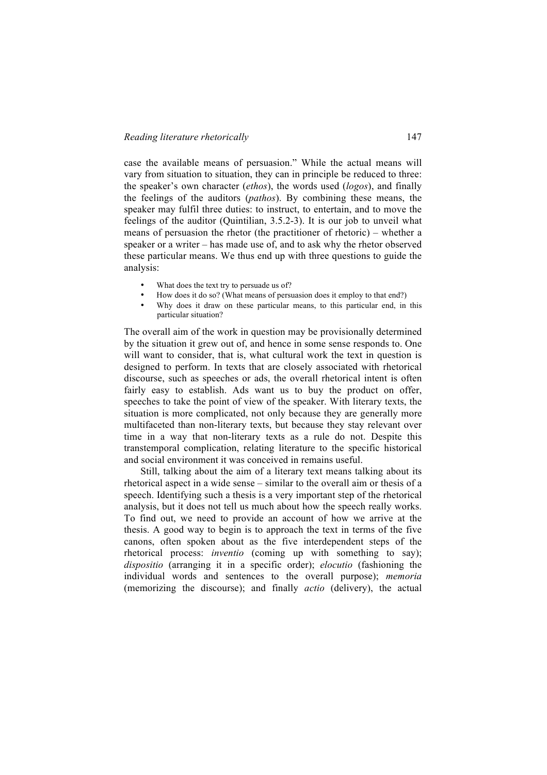case the available means of persuasion." While the actual means will vary from situation to situation, they can in principle be reduced to three: the speaker's own character (*ethos*), the words used (*logos*), and finally the feelings of the auditors (*pathos*). By combining these means, the speaker may fulfil three duties: to instruct, to entertain, and to move the feelings of the auditor (Quintilian, 3.5.2-3). It is our job to unveil what means of persuasion the rhetor (the practitioner of rhetoric) – whether a speaker or a writer – has made use of, and to ask why the rhetor observed these particular means. We thus end up with three questions to guide the analysis:

- What does the text try to persuade us of?
- How does it do so? (What means of persuasion does it employ to that end?)
- Why does it draw on these particular means, to this particular end, in this particular situation?

The overall aim of the work in question may be provisionally determined by the situation it grew out of, and hence in some sense responds to. One will want to consider, that is, what cultural work the text in question is designed to perform. In texts that are closely associated with rhetorical discourse, such as speeches or ads, the overall rhetorical intent is often fairly easy to establish. Ads want us to buy the product on offer, speeches to take the point of view of the speaker. With literary texts, the situation is more complicated, not only because they are generally more multifaceted than non-literary texts, but because they stay relevant over time in a way that non-literary texts as a rule do not. Despite this transtemporal complication, relating literature to the specific historical and social environment it was conceived in remains useful.

Still, talking about the aim of a literary text means talking about its rhetorical aspect in a wide sense – similar to the overall aim or thesis of a speech. Identifying such a thesis is a very important step of the rhetorical analysis, but it does not tell us much about how the speech really works. To find out, we need to provide an account of how we arrive at the thesis. A good way to begin is to approach the text in terms of the five canons, often spoken about as the five interdependent steps of the rhetorical process: *inventio* (coming up with something to say); *dispositio* (arranging it in a specific order); *elocutio* (fashioning the individual words and sentences to the overall purpose); *memoria* (memorizing the discourse); and finally *actio* (delivery), the actual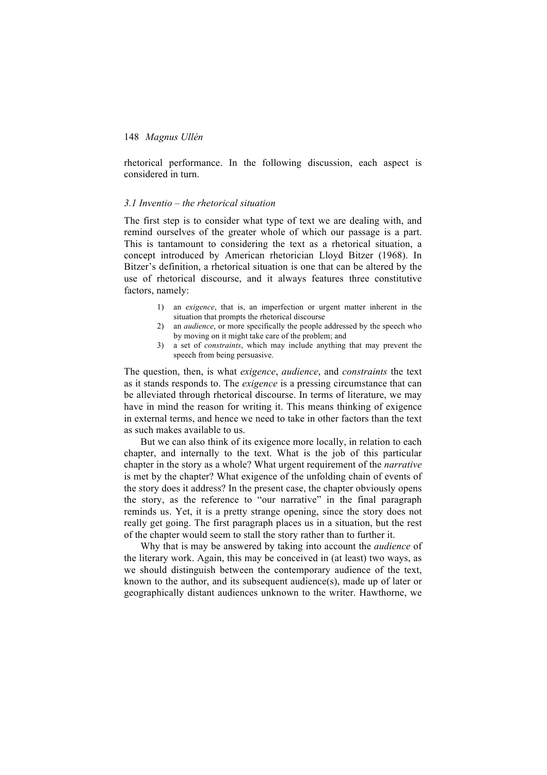rhetorical performance. In the following discussion, each aspect is considered in turn.

#### *3.1 Inventio – the rhetorical situation*

The first step is to consider what type of text we are dealing with, and remind ourselves of the greater whole of which our passage is a part. This is tantamount to considering the text as a rhetorical situation, a concept introduced by American rhetorician Lloyd Bitzer (1968). In Bitzer's definition, a rhetorical situation is one that can be altered by the use of rhetorical discourse, and it always features three constitutive factors, namely:

- 1) an *exigence*, that is, an imperfection or urgent matter inherent in the situation that prompts the rhetorical discourse
- 2) an *audience*, or more specifically the people addressed by the speech who by moving on it might take care of the problem; and
- 3) a set of *constraints*, which may include anything that may prevent the speech from being persuasive.

The question, then, is what *exigence*, *audience*, and *constraints* the text as it stands responds to. The *exigence* is a pressing circumstance that can be alleviated through rhetorical discourse. In terms of literature, we may have in mind the reason for writing it. This means thinking of exigence in external terms, and hence we need to take in other factors than the text as such makes available to us.

But we can also think of its exigence more locally, in relation to each chapter, and internally to the text. What is the job of this particular chapter in the story as a whole? What urgent requirement of the *narrative* is met by the chapter? What exigence of the unfolding chain of events of the story does it address? In the present case, the chapter obviously opens the story, as the reference to "our narrative" in the final paragraph reminds us. Yet, it is a pretty strange opening, since the story does not really get going. The first paragraph places us in a situation, but the rest of the chapter would seem to stall the story rather than to further it.

Why that is may be answered by taking into account the *audience* of the literary work. Again, this may be conceived in (at least) two ways, as we should distinguish between the contemporary audience of the text, known to the author, and its subsequent audience(s), made up of later or geographically distant audiences unknown to the writer. Hawthorne, we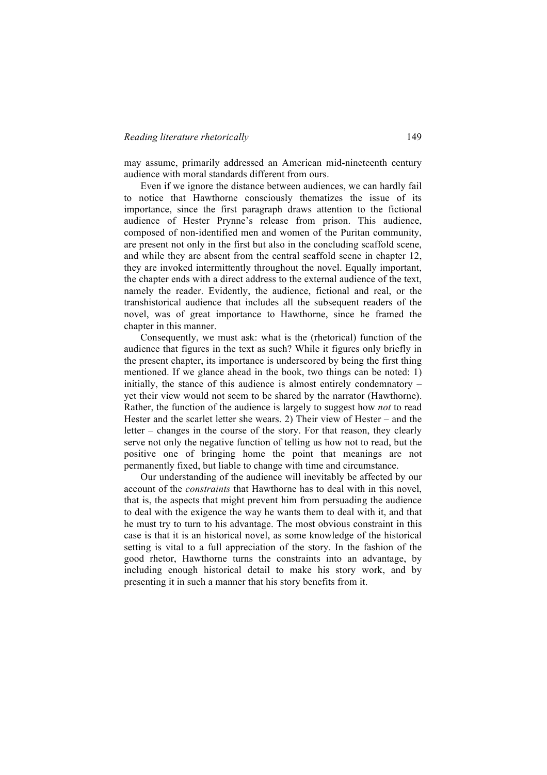may assume, primarily addressed an American mid-nineteenth century audience with moral standards different from ours.

Even if we ignore the distance between audiences, we can hardly fail to notice that Hawthorne consciously thematizes the issue of its importance, since the first paragraph draws attention to the fictional audience of Hester Prynne's release from prison. This audience, composed of non-identified men and women of the Puritan community, are present not only in the first but also in the concluding scaffold scene, and while they are absent from the central scaffold scene in chapter 12, they are invoked intermittently throughout the novel. Equally important, the chapter ends with a direct address to the external audience of the text, namely the reader. Evidently, the audience, fictional and real, or the transhistorical audience that includes all the subsequent readers of the novel, was of great importance to Hawthorne, since he framed the chapter in this manner.

Consequently, we must ask: what is the (rhetorical) function of the audience that figures in the text as such? While it figures only briefly in the present chapter, its importance is underscored by being the first thing mentioned. If we glance ahead in the book, two things can be noted: 1) initially, the stance of this audience is almost entirely condemnatory – yet their view would not seem to be shared by the narrator (Hawthorne). Rather, the function of the audience is largely to suggest how *not* to read Hester and the scarlet letter she wears. 2) Their view of Hester – and the letter – changes in the course of the story. For that reason, they clearly serve not only the negative function of telling us how not to read, but the positive one of bringing home the point that meanings are not permanently fixed, but liable to change with time and circumstance.

Our understanding of the audience will inevitably be affected by our account of the *constraints* that Hawthorne has to deal with in this novel, that is, the aspects that might prevent him from persuading the audience to deal with the exigence the way he wants them to deal with it, and that he must try to turn to his advantage. The most obvious constraint in this case is that it is an historical novel, as some knowledge of the historical setting is vital to a full appreciation of the story. In the fashion of the good rhetor, Hawthorne turns the constraints into an advantage, by including enough historical detail to make his story work, and by presenting it in such a manner that his story benefits from it.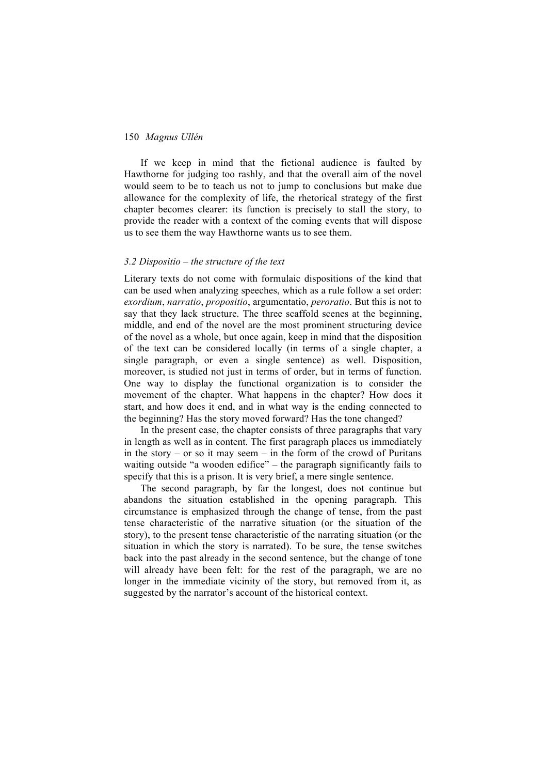If we keep in mind that the fictional audience is faulted by Hawthorne for judging too rashly, and that the overall aim of the novel would seem to be to teach us not to jump to conclusions but make due allowance for the complexity of life, the rhetorical strategy of the first chapter becomes clearer: its function is precisely to stall the story, to provide the reader with a context of the coming events that will dispose us to see them the way Hawthorne wants us to see them.

## *3.2 Dispositio – the structure of the text*

Literary texts do not come with formulaic dispositions of the kind that can be used when analyzing speeches, which as a rule follow a set order: *exordium*, *narratio*, *propositio*, argumentatio, *peroratio*. But this is not to say that they lack structure. The three scaffold scenes at the beginning, middle, and end of the novel are the most prominent structuring device of the novel as a whole, but once again, keep in mind that the disposition of the text can be considered locally (in terms of a single chapter, a single paragraph, or even a single sentence) as well. Disposition, moreover, is studied not just in terms of order, but in terms of function. One way to display the functional organization is to consider the movement of the chapter. What happens in the chapter? How does it start, and how does it end, and in what way is the ending connected to the beginning? Has the story moved forward? Has the tone changed?

In the present case, the chapter consists of three paragraphs that vary in length as well as in content. The first paragraph places us immediately in the story – or so it may seem – in the form of the crowd of Puritans waiting outside "a wooden edifice" – the paragraph significantly fails to specify that this is a prison. It is very brief, a mere single sentence.

The second paragraph, by far the longest, does not continue but abandons the situation established in the opening paragraph. This circumstance is emphasized through the change of tense, from the past tense characteristic of the narrative situation (or the situation of the story), to the present tense characteristic of the narrating situation (or the situation in which the story is narrated). To be sure, the tense switches back into the past already in the second sentence, but the change of tone will already have been felt: for the rest of the paragraph, we are no longer in the immediate vicinity of the story, but removed from it, as suggested by the narrator's account of the historical context.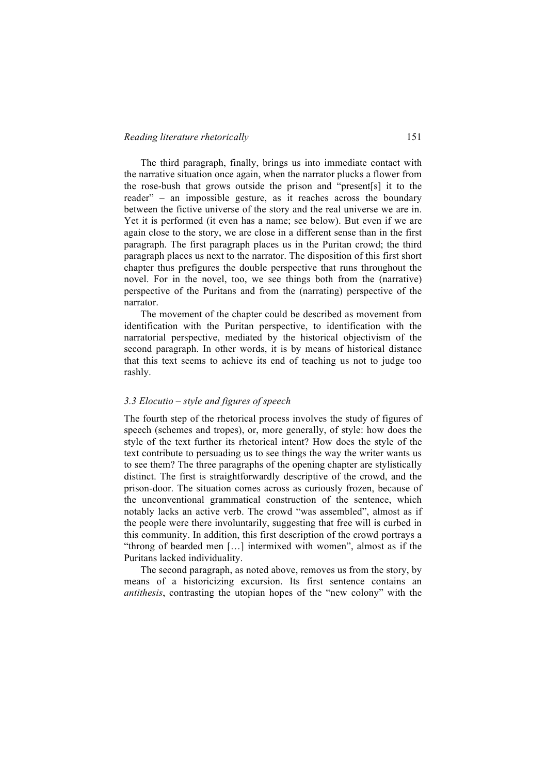## *Reading literature rhetorically* 151

The third paragraph, finally, brings us into immediate contact with the narrative situation once again, when the narrator plucks a flower from the rose-bush that grows outside the prison and "present[s] it to the reader" – an impossible gesture, as it reaches across the boundary between the fictive universe of the story and the real universe we are in. Yet it is performed (it even has a name; see below). But even if we are again close to the story, we are close in a different sense than in the first paragraph. The first paragraph places us in the Puritan crowd; the third paragraph places us next to the narrator. The disposition of this first short chapter thus prefigures the double perspective that runs throughout the novel. For in the novel, too, we see things both from the (narrative) perspective of the Puritans and from the (narrating) perspective of the narrator.

The movement of the chapter could be described as movement from identification with the Puritan perspective, to identification with the narratorial perspective, mediated by the historical objectivism of the second paragraph. In other words, it is by means of historical distance that this text seems to achieve its end of teaching us not to judge too rashly.

# *3.3 Elocutio – style and figures of speech*

The fourth step of the rhetorical process involves the study of figures of speech (schemes and tropes), or, more generally, of style: how does the style of the text further its rhetorical intent? How does the style of the text contribute to persuading us to see things the way the writer wants us to see them? The three paragraphs of the opening chapter are stylistically distinct. The first is straightforwardly descriptive of the crowd, and the prison-door. The situation comes across as curiously frozen, because of the unconventional grammatical construction of the sentence, which notably lacks an active verb. The crowd "was assembled", almost as if the people were there involuntarily, suggesting that free will is curbed in this community. In addition, this first description of the crowd portrays a "throng of bearded men […] intermixed with women", almost as if the Puritans lacked individuality.

The second paragraph, as noted above, removes us from the story, by means of a historicizing excursion. Its first sentence contains an *antithesis*, contrasting the utopian hopes of the "new colony" with the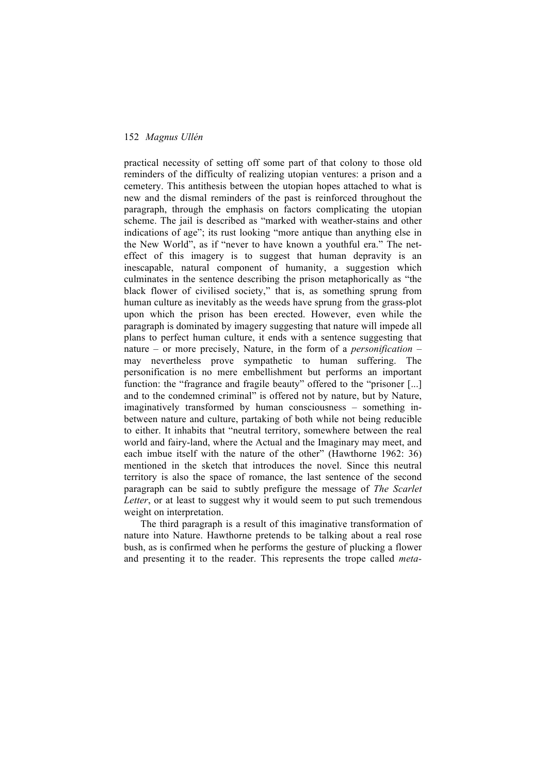practical necessity of setting off some part of that colony to those old reminders of the difficulty of realizing utopian ventures: a prison and a cemetery. This antithesis between the utopian hopes attached to what is new and the dismal reminders of the past is reinforced throughout the paragraph, through the emphasis on factors complicating the utopian scheme. The jail is described as "marked with weather-stains and other indications of age"; its rust looking "more antique than anything else in the New World", as if "never to have known a youthful era." The neteffect of this imagery is to suggest that human depravity is an inescapable, natural component of humanity, a suggestion which culminates in the sentence describing the prison metaphorically as "the black flower of civilised society," that is, as something sprung from human culture as inevitably as the weeds have sprung from the grass-plot upon which the prison has been erected. However, even while the paragraph is dominated by imagery suggesting that nature will impede all plans to perfect human culture, it ends with a sentence suggesting that nature – or more precisely, Nature, in the form of a *personification* – may nevertheless prove sympathetic to human suffering. The personification is no mere embellishment but performs an important function: the "fragrance and fragile beauty" offered to the "prisoner [...] and to the condemned criminal" is offered not by nature, but by Nature, imaginatively transformed by human consciousness – something inbetween nature and culture, partaking of both while not being reducible to either. It inhabits that "neutral territory, somewhere between the real world and fairy-land, where the Actual and the Imaginary may meet, and each imbue itself with the nature of the other" (Hawthorne 1962: 36) mentioned in the sketch that introduces the novel. Since this neutral territory is also the space of romance, the last sentence of the second paragraph can be said to subtly prefigure the message of *The Scarlet Letter*, or at least to suggest why it would seem to put such tremendous weight on interpretation.

The third paragraph is a result of this imaginative transformation of nature into Nature. Hawthorne pretends to be talking about a real rose bush, as is confirmed when he performs the gesture of plucking a flower and presenting it to the reader. This represents the trope called *meta-*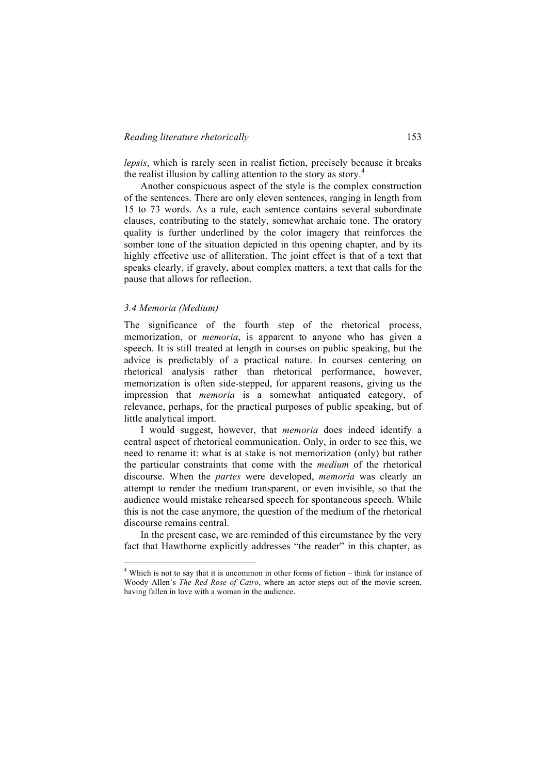*lepsis*, which is rarely seen in realist fiction, precisely because it breaks the realist illusion by calling attention to the story as story.<sup>4</sup>

Another conspicuous aspect of the style is the complex construction of the sentences. There are only eleven sentences, ranging in length from 15 to 73 words. As a rule, each sentence contains several subordinate clauses, contributing to the stately, somewhat archaic tone. The oratory quality is further underlined by the color imagery that reinforces the somber tone of the situation depicted in this opening chapter, and by its highly effective use of alliteration. The joint effect is that of a text that speaks clearly, if gravely, about complex matters, a text that calls for the pause that allows for reflection.

# *3.4 Memoria (Medium)*

The significance of the fourth step of the rhetorical process, memorization, or *memoria*, is apparent to anyone who has given a speech. It is still treated at length in courses on public speaking, but the advice is predictably of a practical nature. In courses centering on rhetorical analysis rather than rhetorical performance, however, memorization is often side-stepped, for apparent reasons, giving us the impression that *memoria* is a somewhat antiquated category, of relevance, perhaps, for the practical purposes of public speaking, but of little analytical import.

I would suggest, however, that *memoria* does indeed identify a central aspect of rhetorical communication. Only, in order to see this, we need to rename it: what is at stake is not memorization (only) but rather the particular constraints that come with the *medium* of the rhetorical discourse. When the *partes* were developed, *memoria* was clearly an attempt to render the medium transparent, or even invisible, so that the audience would mistake rehearsed speech for spontaneous speech. While this is not the case anymore, the question of the medium of the rhetorical discourse remains central.

In the present case, we are reminded of this circumstance by the very fact that Hawthorne explicitly addresses "the reader" in this chapter, as

 <sup>4</sup> Which is not to say that it is uncommon in other forms of fiction – think for instance of Woody Allen's *The Red Rose of Cairo*, where an actor steps out of the movie screen, having fallen in love with a woman in the audience.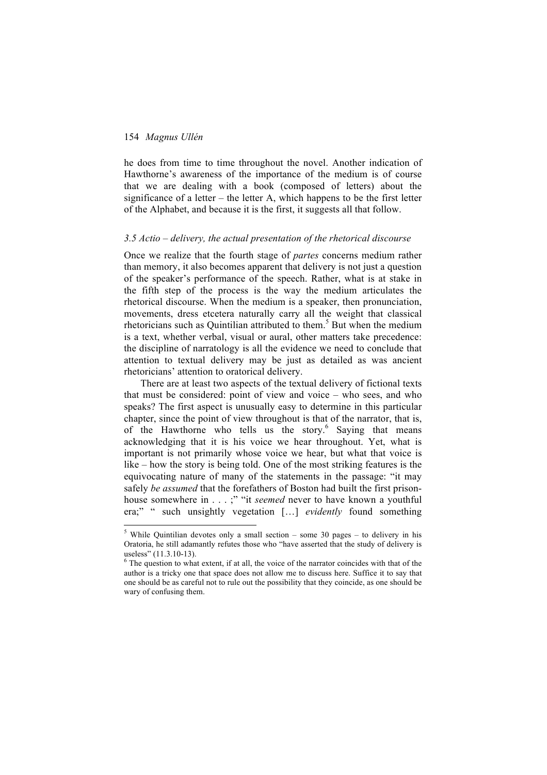he does from time to time throughout the novel. Another indication of Hawthorne's awareness of the importance of the medium is of course that we are dealing with a book (composed of letters) about the significance of a letter – the letter A, which happens to be the first letter of the Alphabet, and because it is the first, it suggests all that follow.

#### *3.5 Actio – delivery, the actual presentation of the rhetorical discourse*

Once we realize that the fourth stage of *partes* concerns medium rather than memory, it also becomes apparent that delivery is not just a question of the speaker's performance of the speech. Rather, what is at stake in the fifth step of the process is the way the medium articulates the rhetorical discourse. When the medium is a speaker, then pronunciation, movements, dress etcetera naturally carry all the weight that classical rhetoricians such as Quintilian attributed to them.<sup>5</sup> But when the medium is a text, whether verbal, visual or aural, other matters take precedence: the discipline of narratology is all the evidence we need to conclude that attention to textual delivery may be just as detailed as was ancient rhetoricians' attention to oratorical delivery.

There are at least two aspects of the textual delivery of fictional texts that must be considered: point of view and voice – who sees, and who speaks? The first aspect is unusually easy to determine in this particular chapter, since the point of view throughout is that of the narrator, that is, of the Hawthorne who tells us the story.<sup>6</sup> Saying that means acknowledging that it is his voice we hear throughout. Yet, what is important is not primarily whose voice we hear, but what that voice is like – how the story is being told. One of the most striking features is the equivocating nature of many of the statements in the passage: "it may safely *be assumed* that the forefathers of Boston had built the first prisonhouse somewhere in . . . ;" "it *seemed* never to have known a youthful era;" " such unsightly vegetation […] *evidently* found something

 $5$  While Ouintilian devotes only a small section – some 30 pages – to delivery in his Oratoria, he still adamantly refutes those who "have asserted that the study of delivery is useless" (11.3.10-13).  $\epsilon$  The question to what extent, if at all, the voice of the narrator coincides with that of the

author is a tricky one that space does not allow me to discuss here. Suffice it to say that one should be as careful not to rule out the possibility that they coincide, as one should be wary of confusing them.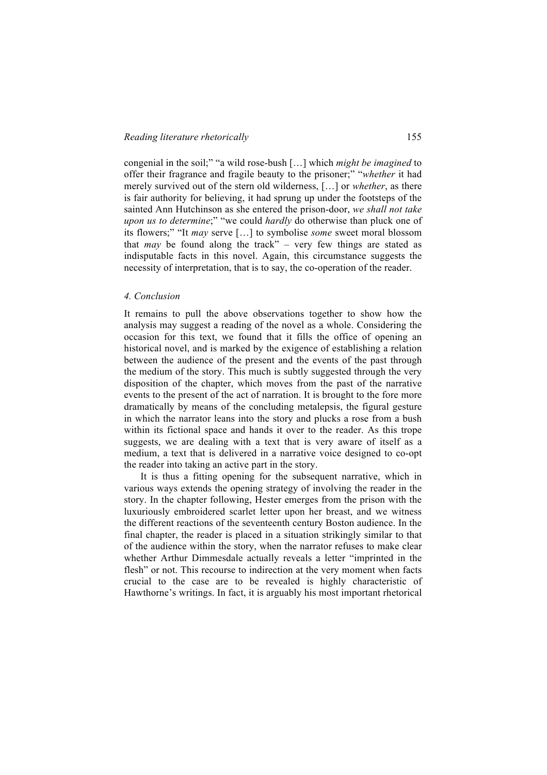congenial in the soil;" "a wild rose-bush […] which *might be imagined* to offer their fragrance and fragile beauty to the prisoner;" "*whether* it had merely survived out of the stern old wilderness, […] or *whether*, as there is fair authority for believing, it had sprung up under the footsteps of the sainted Ann Hutchinson as she entered the prison-door, *we shall not take upon us to determine*;" "we could *hardly* do otherwise than pluck one of its flowers;" "It *may* serve […] to symbolise *some* sweet moral blossom that *may* be found along the track" – very few things are stated as indisputable facts in this novel. Again, this circumstance suggests the necessity of interpretation, that is to say, the co-operation of the reader.

# *4. Conclusion*

It remains to pull the above observations together to show how the analysis may suggest a reading of the novel as a whole. Considering the occasion for this text, we found that it fills the office of opening an historical novel, and is marked by the exigence of establishing a relation between the audience of the present and the events of the past through the medium of the story. This much is subtly suggested through the very disposition of the chapter, which moves from the past of the narrative events to the present of the act of narration. It is brought to the fore more dramatically by means of the concluding metalepsis, the figural gesture in which the narrator leans into the story and plucks a rose from a bush within its fictional space and hands it over to the reader. As this trope suggests, we are dealing with a text that is very aware of itself as a medium, a text that is delivered in a narrative voice designed to co-opt the reader into taking an active part in the story.

It is thus a fitting opening for the subsequent narrative, which in various ways extends the opening strategy of involving the reader in the story. In the chapter following, Hester emerges from the prison with the luxuriously embroidered scarlet letter upon her breast, and we witness the different reactions of the seventeenth century Boston audience. In the final chapter, the reader is placed in a situation strikingly similar to that of the audience within the story, when the narrator refuses to make clear whether Arthur Dimmesdale actually reveals a letter "imprinted in the flesh" or not. This recourse to indirection at the very moment when facts crucial to the case are to be revealed is highly characteristic of Hawthorne's writings. In fact, it is arguably his most important rhetorical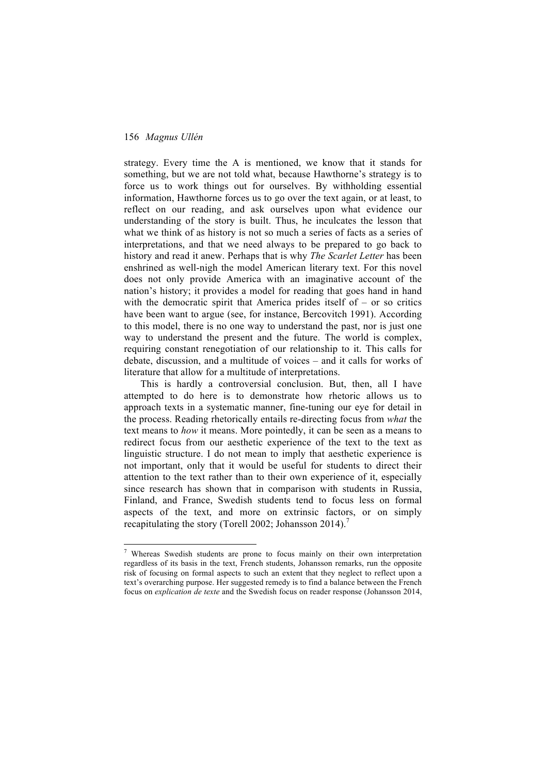strategy. Every time the A is mentioned, we know that it stands for something, but we are not told what, because Hawthorne's strategy is to force us to work things out for ourselves. By withholding essential information, Hawthorne forces us to go over the text again, or at least, to reflect on our reading, and ask ourselves upon what evidence our understanding of the story is built. Thus, he inculcates the lesson that what we think of as history is not so much a series of facts as a series of interpretations, and that we need always to be prepared to go back to history and read it anew. Perhaps that is why *The Scarlet Letter* has been enshrined as well-nigh the model American literary text. For this novel does not only provide America with an imaginative account of the nation's history; it provides a model for reading that goes hand in hand with the democratic spirit that America prides itself of  $-$  or so critics have been want to argue (see, for instance, Bercovitch 1991). According to this model, there is no one way to understand the past, nor is just one way to understand the present and the future. The world is complex, requiring constant renegotiation of our relationship to it. This calls for debate, discussion, and a multitude of voices – and it calls for works of literature that allow for a multitude of interpretations.

This is hardly a controversial conclusion. But, then, all I have attempted to do here is to demonstrate how rhetoric allows us to approach texts in a systematic manner, fine-tuning our eye for detail in the process. Reading rhetorically entails re-directing focus from *what* the text means to *how* it means. More pointedly, it can be seen as a means to redirect focus from our aesthetic experience of the text to the text as linguistic structure. I do not mean to imply that aesthetic experience is not important, only that it would be useful for students to direct their attention to the text rather than to their own experience of it, especially since research has shown that in comparison with students in Russia, Finland, and France, Swedish students tend to focus less on formal aspects of the text, and more on extrinsic factors, or on simply recapitulating the story (Torell 2002; Johansson 2014).<sup>7</sup>

 <sup>7</sup> Whereas Swedish students are prone to focus mainly on their own interpretation regardless of its basis in the text, French students, Johansson remarks, run the opposite risk of focusing on formal aspects to such an extent that they neglect to reflect upon a text's overarching purpose. Her suggested remedy is to find a balance between the French focus on *explication de texte* and the Swedish focus on reader response (Johansson 2014,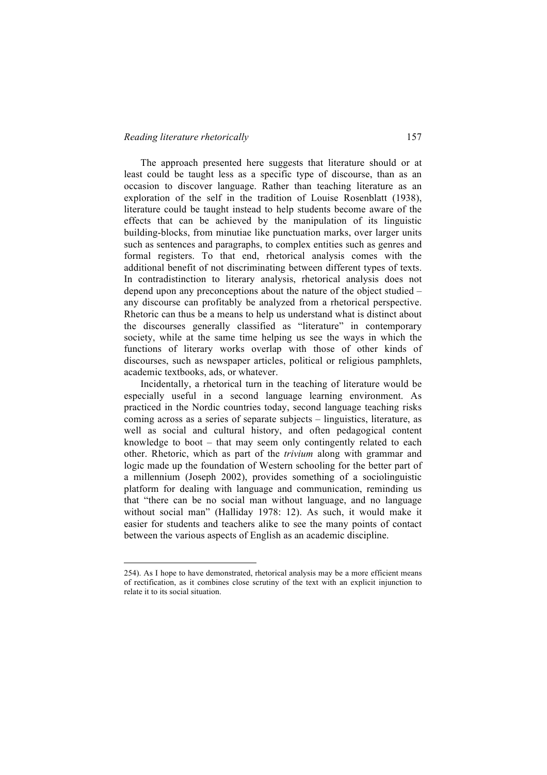## *Reading literature rhetorically* 157

l

The approach presented here suggests that literature should or at least could be taught less as a specific type of discourse, than as an occasion to discover language. Rather than teaching literature as an exploration of the self in the tradition of Louise Rosenblatt (1938), literature could be taught instead to help students become aware of the effects that can be achieved by the manipulation of its linguistic building-blocks, from minutiae like punctuation marks, over larger units such as sentences and paragraphs, to complex entities such as genres and formal registers. To that end, rhetorical analysis comes with the additional benefit of not discriminating between different types of texts. In contradistinction to literary analysis, rhetorical analysis does not depend upon any preconceptions about the nature of the object studied – any discourse can profitably be analyzed from a rhetorical perspective. Rhetoric can thus be a means to help us understand what is distinct about the discourses generally classified as "literature" in contemporary society, while at the same time helping us see the ways in which the functions of literary works overlap with those of other kinds of discourses, such as newspaper articles, political or religious pamphlets, academic textbooks, ads, or whatever.

Incidentally, a rhetorical turn in the teaching of literature would be especially useful in a second language learning environment. As practiced in the Nordic countries today, second language teaching risks coming across as a series of separate subjects – linguistics, literature, as well as social and cultural history, and often pedagogical content knowledge to boot – that may seem only contingently related to each other. Rhetoric, which as part of the *trivium* along with grammar and logic made up the foundation of Western schooling for the better part of a millennium (Joseph 2002), provides something of a sociolinguistic platform for dealing with language and communication, reminding us that "there can be no social man without language, and no language without social man" (Halliday 1978: 12). As such, it would make it easier for students and teachers alike to see the many points of contact between the various aspects of English as an academic discipline.

<sup>254).</sup> As I hope to have demonstrated, rhetorical analysis may be a more efficient means of rectification, as it combines close scrutiny of the text with an explicit injunction to relate it to its social situation.